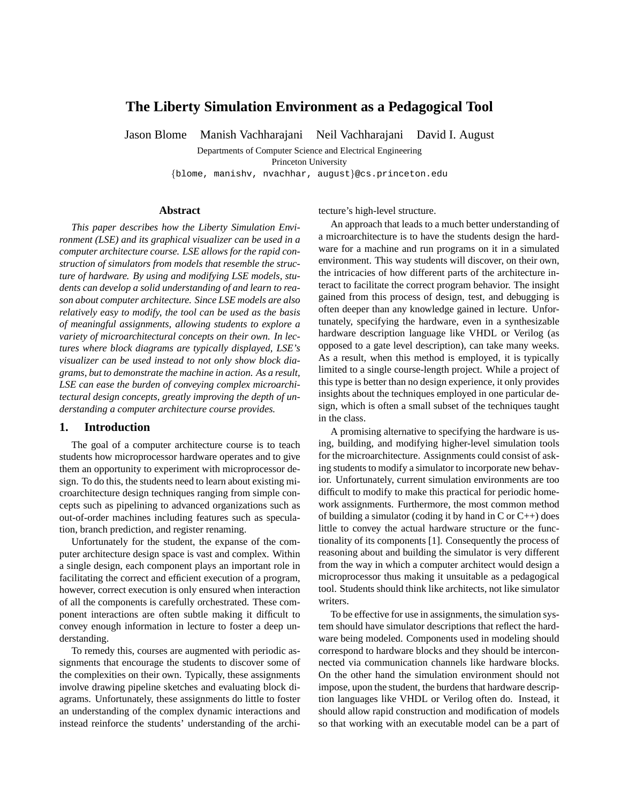# **The Liberty Simulation Environment as a Pedagogical Tool**

Jason Blome Manish Vachharajani Neil Vachharajani David I. August

Departments of Computer Science and Electrical Engineering

Princeton University

{blome, manishv, nvachhar, august}@cs.princeton.edu

#### **Abstract**

*This paper describes how the Liberty Simulation Environment (LSE) and its graphical visualizer can be used in a computer architecture course. LSE allows for the rapid construction of simulators from models that resemble the structure of hardware. By using and modifying LSE models, students can develop a solid understanding of and learn to reason about computer architecture. Since LSE models are also relatively easy to modify, the tool can be used as the basis of meaningful assignments, allowing students to explore a variety of microarchitectural concepts on their own. In lectures where block diagrams are typically displayed, LSE's visualizer can be used instead to not only show block diagrams, but to demonstrate the machine in action. As a result, LSE can ease the burden of conveying complex microarchitectural design concepts, greatly improving the depth of understanding a computer architecture course provides.*

## **1. Introduction**

The goal of a computer architecture course is to teach students how microprocessor hardware operates and to give them an opportunity to experiment with microprocessor design. To do this, the students need to learn about existing microarchitecture design techniques ranging from simple concepts such as pipelining to advanced organizations such as out-of-order machines including features such as speculation, branch prediction, and register renaming.

Unfortunately for the student, the expanse of the computer architecture design space is vast and complex. Within a single design, each component plays an important role in facilitating the correct and efficient execution of a program, however, correct execution is only ensured when interaction of all the components is carefully orchestrated. These component interactions are often subtle making it difficult to convey enough information in lecture to foster a deep understanding.

To remedy this, courses are augmented with periodic assignments that encourage the students to discover some of the complexities on their own. Typically, these assignments involve drawing pipeline sketches and evaluating block diagrams. Unfortunately, these assignments do little to foster an understanding of the complex dynamic interactions and instead reinforce the students' understanding of the architecture's high-level structure.

An approach that leads to a much better understanding of a microarchitecture is to have the students design the hardware for a machine and run programs on it in a simulated environment. This way students will discover, on their own, the intricacies of how different parts of the architecture interact to facilitate the correct program behavior. The insight gained from this process of design, test, and debugging is often deeper than any knowledge gained in lecture. Unfortunately, specifying the hardware, even in a synthesizable hardware description language like VHDL or Verilog (as opposed to a gate level description), can take many weeks. As a result, when this method is employed, it is typically limited to a single course-length project. While a project of this type is better than no design experience, it only provides insights about the techniques employed in one particular design, which is often a small subset of the techniques taught in the class.

A promising alternative to specifying the hardware is using, building, and modifying higher-level simulation tools for the microarchitecture. Assignments could consist of asking students to modify a simulator to incorporate new behavior. Unfortunately, current simulation environments are too difficult to modify to make this practical for periodic homework assignments. Furthermore, the most common method of building a simulator (coding it by hand in C or  $C_{++}$ ) does little to convey the actual hardware structure or the functionality of its components [1]. Consequently the process of reasoning about and building the simulator is very different from the way in which a computer architect would design a microprocessor thus making it unsuitable as a pedagogical tool. Students should think like architects, not like simulator writers.

To be effective for use in assignments, the simulation system should have simulator descriptions that reflect the hardware being modeled. Components used in modeling should correspond to hardware blocks and they should be interconnected via communication channels like hardware blocks. On the other hand the simulation environment should not impose, upon the student, the burdens that hardware description languages like VHDL or Verilog often do. Instead, it should allow rapid construction and modification of models so that working with an executable model can be a part of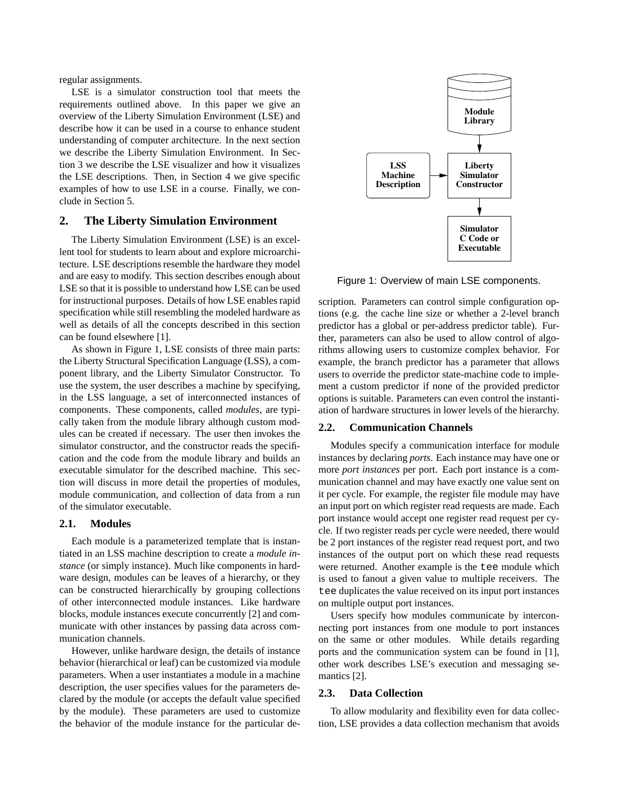regular assignments.

LSE is a simulator construction tool that meets the requirements outlined above. In this paper we give an overview of the Liberty Simulation Environment (LSE) and describe how it can be used in a course to enhance student understanding of computer architecture. In the next section we describe the Liberty Simulation Environment. In Section 3 we describe the LSE visualizer and how it visualizes the LSE descriptions. Then, in Section 4 we give specific examples of how to use LSE in a course. Finally, we conclude in Section 5.

# **2. The Liberty Simulation Environment**

The Liberty Simulation Environment (LSE) is an excellent tool for students to learn about and explore microarchitecture. LSE descriptions resemble the hardware they model and are easy to modify. This section describes enough about LSE so that it is possible to understand how LSE can be used for instructional purposes. Details of how LSE enables rapid specification while still resembling the modeled hardware as well as details of all the concepts described in this section can be found elsewhere [1].

As shown in Figure 1, LSE consists of three main parts: the Liberty Structural Specification Language (LSS), a component library, and the Liberty Simulator Constructor. To use the system, the user describes a machine by specifying, in the LSS language, a set of interconnected instances of components. These components, called *modules*, are typically taken from the module library although custom modules can be created if necessary. The user then invokes the simulator constructor, and the constructor reads the specification and the code from the module library and builds an executable simulator for the described machine. This section will discuss in more detail the properties of modules, module communication, and collection of data from a run of the simulator executable.

# **2.1. Modules**

Each module is a parameterized template that is instantiated in an LSS machine description to create a *module instance* (or simply instance). Much like components in hardware design, modules can be leaves of a hierarchy, or they can be constructed hierarchically by grouping collections of other interconnected module instances. Like hardware blocks, module instances execute concurrently [2] and communicate with other instances by passing data across communication channels.

However, unlike hardware design, the details of instance behavior (hierarchical or leaf) can be customized via module parameters. When a user instantiates a module in a machine description, the user specifies values for the parameters declared by the module (or accepts the default value specified by the module). These parameters are used to customize the behavior of the module instance for the particular de-



Figure 1: Overview of main LSE components.

scription. Parameters can control simple configuration options (e.g. the cache line size or whether a 2-level branch predictor has a global or per-address predictor table). Further, parameters can also be used to allow control of algorithms allowing users to customize complex behavior. For example, the branch predictor has a parameter that allows users to override the predictor state-machine code to implement a custom predictor if none of the provided predictor options is suitable. Parameters can even control the instantiation of hardware structures in lower levels of the hierarchy.

## **2.2. Communication Channels**

Modules specify a communication interface for module instances by declaring *ports*. Each instance may have one or more *port instances* per port. Each port instance is a communication channel and may have exactly one value sent on it per cycle. For example, the register file module may have an input port on which register read requests are made. Each port instance would accept one register read request per cycle. If two register reads per cycle were needed, there would be 2 port instances of the register read request port, and two instances of the output port on which these read requests were returned. Another example is the tee module which is used to fanout a given value to multiple receivers. The tee duplicates the value received on its input port instances on multiple output port instances.

Users specify how modules communicate by interconnecting port instances from one module to port instances on the same or other modules. While details regarding ports and the communication system can be found in [1], other work describes LSE's execution and messaging semantics [2].

### **2.3. Data Collection**

To allow modularity and flexibility even for data collection, LSE provides a data collection mechanism that avoids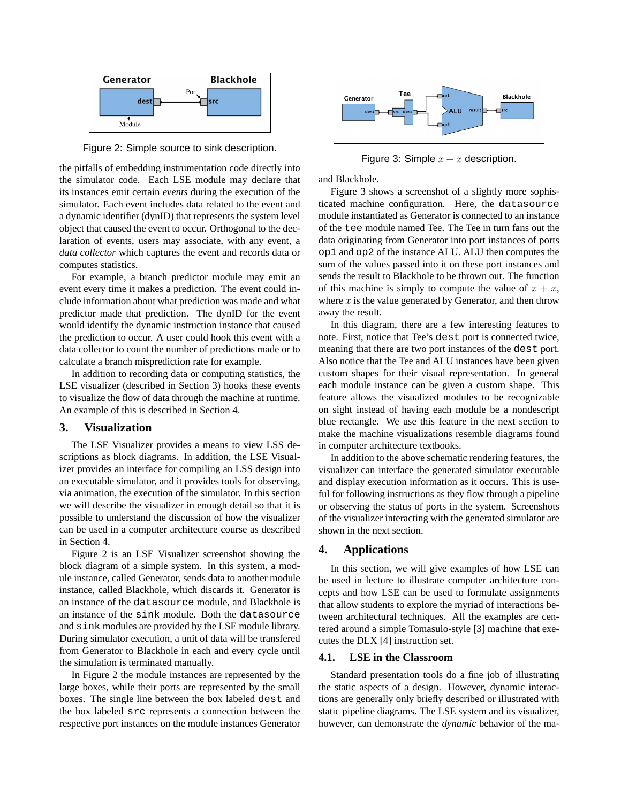

Figure 2: Simple source to sink description.

the pitfalls of embedding instrumentation code directly into the simulator code. Each LSE module may declare that its instances emit certain *events* during the execution of the simulator. Each event includes data related to the event and a dynamic identifier (dynID) that represents the system level object that caused the event to occur. Orthogonal to the declaration of events, users may associate, with any event, a *data collector* which captures the event and records data or computes statistics.

For example, a branch predictor module may emit an event every time it makes a prediction. The event could include information about what prediction was made and what predictor made that prediction. The dynID for the event would identify the dynamic instruction instance that caused the prediction to occur. A user could hook this event with a data collector to count the number of predictions made or to calculate a branch misprediction rate for example.

In addition to recording data or computing statistics, the LSE visualizer (described in Section 3) hooks these events to visualize the flow of data through the machine at runtime. An example of this is described in Section 4.

# **3. Visualization**

The LSE Visualizer provides a means to view LSS descriptions as block diagrams. In addition, the LSE Visualizer provides an interface for compiling an LSS design into an executable simulator, and it provides tools for observing, via animation, the execution of the simulator. In this section we will describe the visualizer in enough detail so that it is possible to understand the discussion of how the visualizer can be used in a computer architecture course as described in Section 4.

Figure 2 is an LSE Visualizer screenshot showing the block diagram of a simple system. In this system, a module instance, called Generator, sends data to another module instance, called Blackhole, which discards it. Generator is an instance of the datasource module, and Blackhole is an instance of the sink module. Both the datasource and sink modules are provided by the LSE module library. During simulator execution, a unit of data will be transfered from Generator to Blackhole in each and every cycle until the simulation is terminated manually.

In Figure 2 the module instances are represented by the large boxes, while their ports are represented by the small boxes. The single line between the box labeled dest and the box labeled src represents a connection between the respective port instances on the module instances Generator



Figure 3: Simple  $x + x$  description.

and Blackhole.

Figure 3 shows a screenshot of a slightly more sophisticated machine configuration. Here, the datasource module instantiated as Generator is connected to an instance of the tee module named Tee. The Tee in turn fans out the data originating from Generator into port instances of ports op1 and op2 of the instance ALU. ALU then computes the sum of the values passed into it on these port instances and sends the result to Blackhole to be thrown out. The function of this machine is simply to compute the value of  $x + x$ , where  $x$  is the value generated by Generator, and then throw away the result.

In this diagram, there are a few interesting features to note. First, notice that Tee's dest port is connected twice, meaning that there are two port instances of the dest port. Also notice that the Tee and ALU instances have been given custom shapes for their visual representation. In general each module instance can be given a custom shape. This feature allows the visualized modules to be recognizable on sight instead of having each module be a nondescript blue rectangle. We use this feature in the next section to make the machine visualizations resemble diagrams found in computer architecture textbooks.

In addition to the above schematic rendering features, the visualizer can interface the generated simulator executable and display execution information as it occurs. This is useful for following instructions as they flow through a pipeline or observing the status of ports in the system. Screenshots of the visualizer interacting with the generated simulator are shown in the next section.

## **4. Applications**

In this section, we will give examples of how LSE can be used in lecture to illustrate computer architecture concepts and how LSE can be used to formulate assignments that allow students to explore the myriad of interactions between architectural techniques. All the examples are centered around a simple Tomasulo-style [3] machine that executes the DLX [4] instruction set.

### **4.1. LSE in the Classroom**

Standard presentation tools do a fine job of illustrating the static aspects of a design. However, dynamic interactions are generally only briefly described or illustrated with static pipeline diagrams. The LSE system and its visualizer, however, can demonstrate the *dynamic* behavior of the ma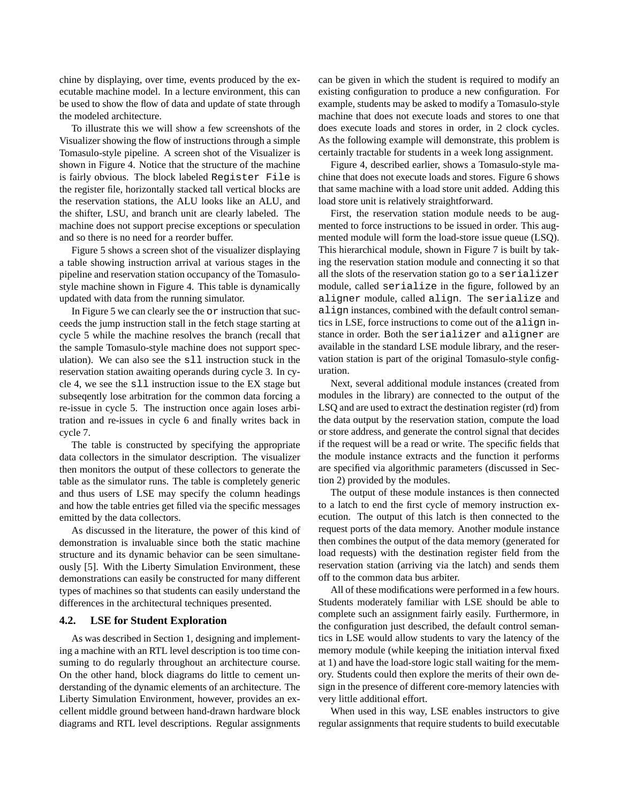chine by displaying, over time, events produced by the executable machine model. In a lecture environment, this can be used to show the flow of data and update of state through the modeled architecture.

To illustrate this we will show a few screenshots of the Visualizer showing the flow of instructions through a simple Tomasulo-style pipeline. A screen shot of the Visualizer is shown in Figure 4. Notice that the structure of the machine is fairly obvious. The block labeled Register File is the register file, horizontally stacked tall vertical blocks are the reservation stations, the ALU looks like an ALU, and the shifter, LSU, and branch unit are clearly labeled. The machine does not support precise exceptions or speculation and so there is no need for a reorder buffer.

Figure 5 shows a screen shot of the visualizer displaying a table showing instruction arrival at various stages in the pipeline and reservation station occupancy of the Tomasulostyle machine shown in Figure 4. This table is dynamically updated with data from the running simulator.

In Figure 5 we can clearly see the or instruction that succeeds the jump instruction stall in the fetch stage starting at cycle 5 while the machine resolves the branch (recall that the sample Tomasulo-style machine does not support speculation). We can also see the sll instruction stuck in the reservation station awaiting operands during cycle 3. In cycle 4, we see the sll instruction issue to the EX stage but subseqently lose arbitration for the common data forcing a re-issue in cycle 5. The instruction once again loses arbitration and re-issues in cycle 6 and finally writes back in cycle 7.

The table is constructed by specifying the appropriate data collectors in the simulator description. The visualizer then monitors the output of these collectors to generate the table as the simulator runs. The table is completely generic and thus users of LSE may specify the column headings and how the table entries get filled via the specific messages emitted by the data collectors.

As discussed in the literature, the power of this kind of demonstration is invaluable since both the static machine structure and its dynamic behavior can be seen simultaneously [5]. With the Liberty Simulation Environment, these demonstrations can easily be constructed for many different types of machines so that students can easily understand the differences in the architectural techniques presented.

### **4.2. LSE for Student Exploration**

As was described in Section 1, designing and implementing a machine with an RTL level description is too time consuming to do regularly throughout an architecture course. On the other hand, block diagrams do little to cement understanding of the dynamic elements of an architecture. The Liberty Simulation Environment, however, provides an excellent middle ground between hand-drawn hardware block diagrams and RTL level descriptions. Regular assignments can be given in which the student is required to modify an existing configuration to produce a new configuration. For example, students may be asked to modify a Tomasulo-style machine that does not execute loads and stores to one that does execute loads and stores in order, in 2 clock cycles. As the following example will demonstrate, this problem is certainly tractable for students in a week long assignment.

Figure 4, described earlier, shows a Tomasulo-style machine that does not execute loads and stores. Figure 6 shows that same machine with a load store unit added. Adding this load store unit is relatively straightforward.

First, the reservation station module needs to be augmented to force instructions to be issued in order. This augmented module will form the load-store issue queue (LSQ). This hierarchical module, shown in Figure 7 is built by taking the reservation station module and connecting it so that all the slots of the reservation station go to a serializer module, called serialize in the figure, followed by an aligner module, called align. The serialize and align instances, combined with the default control semantics in LSE, force instructions to come out of the align instance in order. Both the serializer and aligner are available in the standard LSE module library, and the reservation station is part of the original Tomasulo-style configuration.

Next, several additional module instances (created from modules in the library) are connected to the output of the LSQ and are used to extract the destination register (rd) from the data output by the reservation station, compute the load or store address, and generate the control signal that decides if the request will be a read or write. The specific fields that the module instance extracts and the function it performs are specified via algorithmic parameters (discussed in Section 2) provided by the modules.

The output of these module instances is then connected to a latch to end the first cycle of memory instruction execution. The output of this latch is then connected to the request ports of the data memory. Another module instance then combines the output of the data memory (generated for load requests) with the destination register field from the reservation station (arriving via the latch) and sends them off to the common data bus arbiter.

All of these modifications were performed in a few hours. Students moderately familiar with LSE should be able to complete such an assignment fairly easily. Furthermore, in the configuration just described, the default control semantics in LSE would allow students to vary the latency of the memory module (while keeping the initiation interval fixed at 1) and have the load-store logic stall waiting for the memory. Students could then explore the merits of their own design in the presence of different core-memory latencies with very little additional effort.

When used in this way, LSE enables instructors to give regular assignments that require students to build executable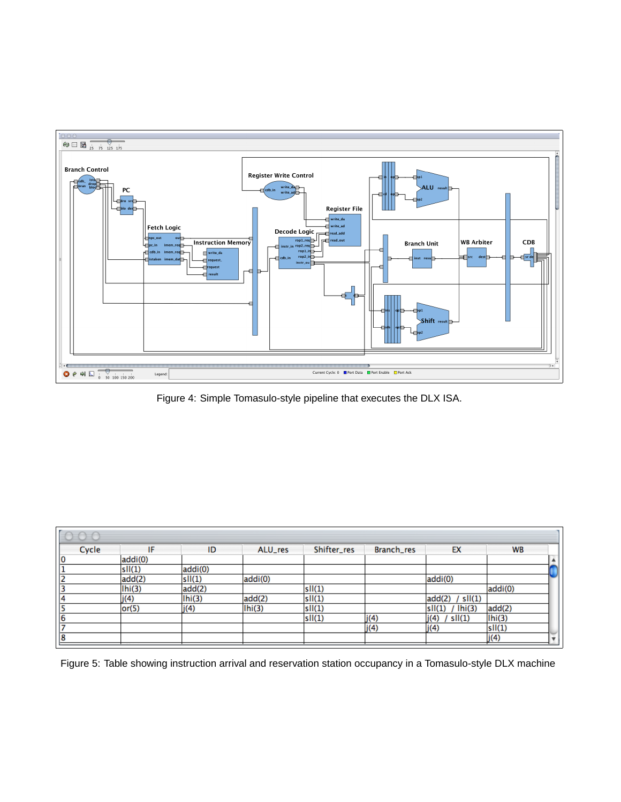

Figure 4: Simple Tomasulo-style pipeline that executes the DLX ISA.

| Cycle | IF      | ID      | ALU_res | Shifter_res | Branch_res | EX                  | <b>WB</b> |  |
|-------|---------|---------|---------|-------------|------------|---------------------|-----------|--|
| 10    | addi(0) |         |         |             |            |                     |           |  |
|       | sII(1)  | addi(0) |         |             |            |                     |           |  |
|       | add(2)  | sII(1)  | addi(0) |             |            | addi(0)             |           |  |
|       | Ihi(3)  | add(2)  |         | sII(1)      |            |                     | addi(0)   |  |
| 14    | j(4)    | Ihi(3)  | add(2)  | sII(1)      |            | add(2)<br>/ $sl(1)$ |           |  |
| 5     | or(5)   | j(4)    | 1hi(3)  | sII(1)      |            | $sII(1)$ / $Ihi(3)$ | add(2)    |  |
| 6     |         |         |         | sII(1)      | j(4)       | j(4) / s1(1)        | Ihi(3)    |  |
| 7     |         |         |         |             | j(4)       | j(4)                | sII(1)    |  |
| 18    |         |         |         |             |            |                     | j(4)      |  |

Figure 5: Table showing instruction arrival and reservation station occupancy in a Tomasulo-style DLX machine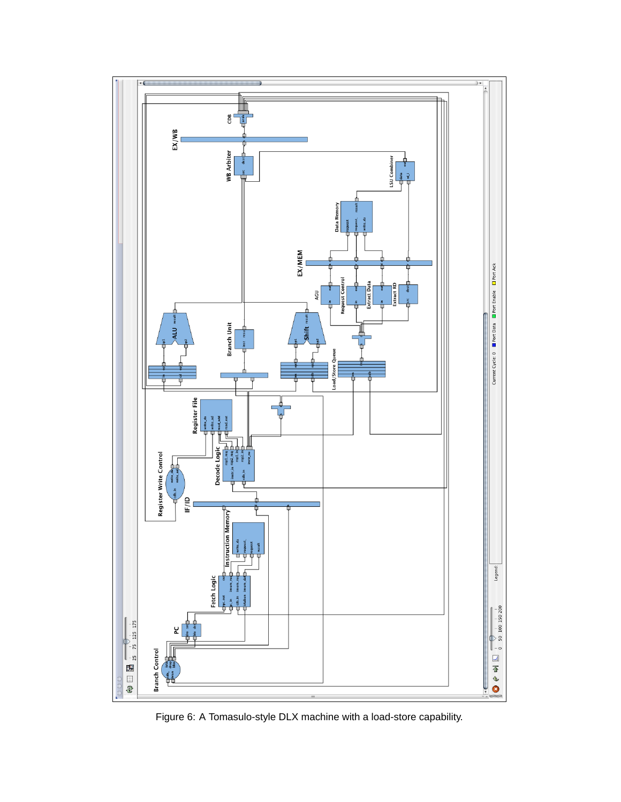

Figure 6: A Tomasulo-style DLX machine with a load-store capability.